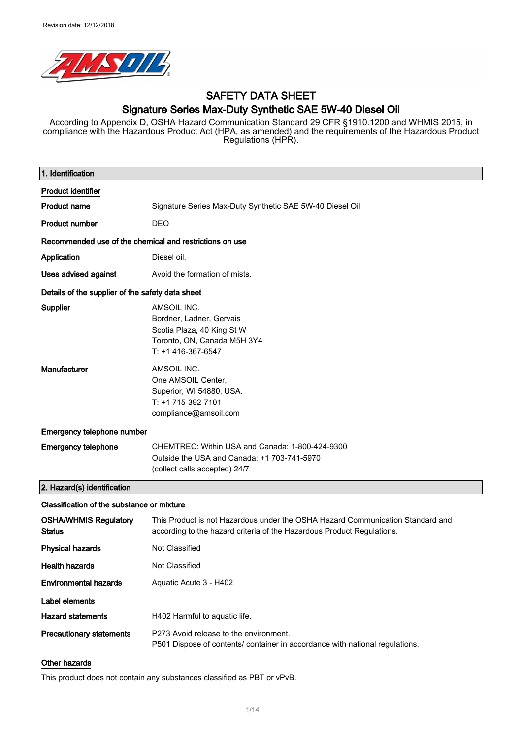

### SAFETY DATA SHEET Signature Series Max-Duty Synthetic SAE 5W-40 Diesel Oil

According to Appendix D, OSHA Hazard Communication Standard 29 CFR §1910.1200 and WHMIS 2015, in compliance with the Hazardous Product Act (HPA, as amended) and the requirements of the Hazardous Product Regulations (HPR).

| 1. Identification                                       |                                                                                                                                                          |  |
|---------------------------------------------------------|----------------------------------------------------------------------------------------------------------------------------------------------------------|--|
| <b>Product identifier</b>                               |                                                                                                                                                          |  |
| <b>Product name</b>                                     | Signature Series Max-Duty Synthetic SAE 5W-40 Diesel Oil                                                                                                 |  |
| <b>Product number</b>                                   | <b>DEO</b>                                                                                                                                               |  |
| Recommended use of the chemical and restrictions on use |                                                                                                                                                          |  |
| Application                                             | Diesel oil.                                                                                                                                              |  |
| Uses advised against                                    | Avoid the formation of mists.                                                                                                                            |  |
| Details of the supplier of the safety data sheet        |                                                                                                                                                          |  |
| Supplier                                                | AMSOIL INC.<br>Bordner, Ladner, Gervais<br>Scotia Plaza, 40 King St W<br>Toronto, ON, Canada M5H 3Y4<br>$T: +1416-367-6547$                              |  |
| Manufacturer                                            | AMSOIL INC.<br>One AMSOIL Center,<br>Superior, WI 54880, USA.<br>T: +1 715-392-7101<br>compliance@amsoil.com                                             |  |
| Emergency telephone number                              |                                                                                                                                                          |  |
| <b>Emergency telephone</b>                              | CHEMTREC: Within USA and Canada: 1-800-424-9300<br>Outside the USA and Canada: +1 703-741-5970<br>(collect calls accepted) 24/7                          |  |
| 2. Hazard(s) identification                             |                                                                                                                                                          |  |
| Classification of the substance or mixture              |                                                                                                                                                          |  |
| <b>OSHA/WHMIS Regulatory</b><br><b>Status</b>           | This Product is not Hazardous under the OSHA Hazard Communication Standard and<br>according to the hazard criteria of the Hazardous Product Regulations. |  |
| <b>Physical hazards</b>                                 | Not Classified                                                                                                                                           |  |
| <b>Health hazards</b>                                   | Not Classified                                                                                                                                           |  |
| <b>Environmental hazards</b>                            | Aquatic Acute 3 - H402                                                                                                                                   |  |
| Label elements                                          |                                                                                                                                                          |  |
| <b>Hazard statements</b>                                | H402 Harmful to aquatic life.                                                                                                                            |  |
| <b>Precautionary statements</b>                         | P273 Avoid release to the environment.<br>P501 Dispose of contents/ container in accordance with national regulations.                                   |  |
| Other hazards                                           |                                                                                                                                                          |  |

This product does not contain any substances classified as PBT or vPvB.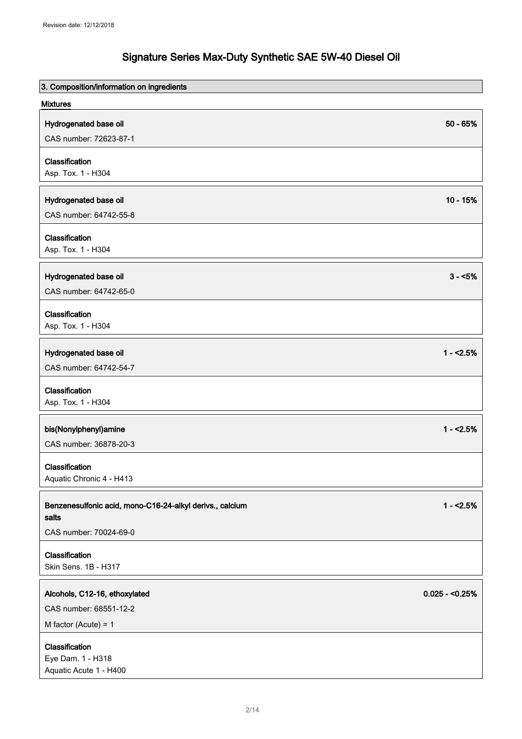| 3. Composition/information on ingredients                |                 |
|----------------------------------------------------------|-----------------|
| <b>Mixtures</b>                                          |                 |
| Hydrogenated base oil                                    | $50 - 65%$      |
| CAS number: 72623-87-1                                   |                 |
| Classification                                           |                 |
| Asp. Tox. 1 - H304                                       |                 |
|                                                          |                 |
| Hydrogenated base oil                                    | $10 - 15%$      |
| CAS number: 64742-55-8                                   |                 |
| Classification                                           |                 |
| Asp. Tox. 1 - H304                                       |                 |
| Hydrogenated base oil                                    | $3 - 5%$        |
| CAS number: 64742-65-0                                   |                 |
|                                                          |                 |
| Classification<br>Asp. Tox. 1 - H304                     |                 |
|                                                          |                 |
| Hydrogenated base oil                                    | $1 - 2.5%$      |
| CAS number: 64742-54-7                                   |                 |
| Classification                                           |                 |
| Asp. Tox. 1 - H304                                       |                 |
| bis(Nonylphenyl)amine                                    | $1 - 2.5%$      |
| CAS number: 36878-20-3                                   |                 |
|                                                          |                 |
| Classification<br>Aquatic Chronic 4 - H413               |                 |
|                                                          |                 |
| Benzenesulfonic acid, mono-C16-24-alkyl derivs., calcium | $1 - 2.5%$      |
| salts                                                    |                 |
| CAS number: 70024-69-0                                   |                 |
| Classification                                           |                 |
| Skin Sens. 1B - H317                                     |                 |
| Alcohols, C12-16, ethoxylated                            | $0.025 - 0.25%$ |
| CAS number: 68551-12-2                                   |                 |
| M factor (Acute) = $1$                                   |                 |
|                                                          |                 |
| Classification<br>Eye Dam. 1 - H318                      |                 |
| Aquatic Acute 1 - H400                                   |                 |
|                                                          |                 |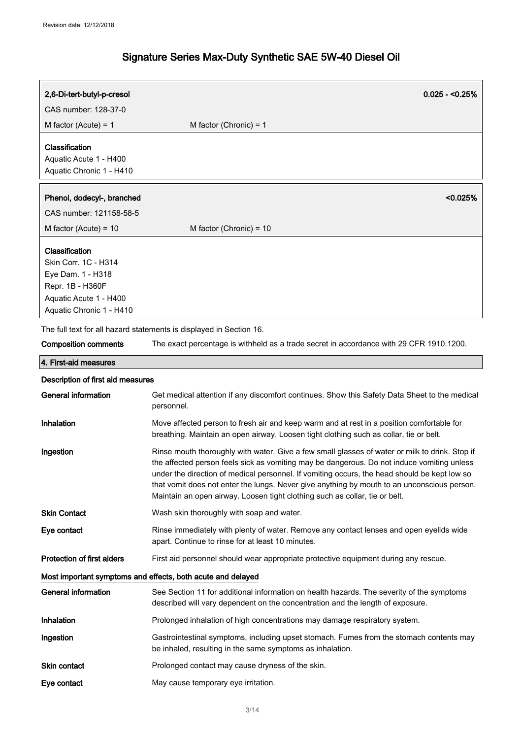| 2,6-Di-tert-butyl-p-cresol                                                                                                            | $0.025 - 0.25%$                                                                                                                                                                                                                                                                                                                                                                                                                                                            |
|---------------------------------------------------------------------------------------------------------------------------------------|----------------------------------------------------------------------------------------------------------------------------------------------------------------------------------------------------------------------------------------------------------------------------------------------------------------------------------------------------------------------------------------------------------------------------------------------------------------------------|
| CAS number: 128-37-0                                                                                                                  |                                                                                                                                                                                                                                                                                                                                                                                                                                                                            |
| M factor (Acute) = $1$                                                                                                                | M factor (Chronic) = $1$                                                                                                                                                                                                                                                                                                                                                                                                                                                   |
| Classification<br>Aquatic Acute 1 - H400<br>Aquatic Chronic 1 - H410                                                                  |                                                                                                                                                                                                                                                                                                                                                                                                                                                                            |
| Phenol, dodecyl-, branched                                                                                                            | < 0.025%                                                                                                                                                                                                                                                                                                                                                                                                                                                                   |
| CAS number: 121158-58-5                                                                                                               |                                                                                                                                                                                                                                                                                                                                                                                                                                                                            |
| M factor (Acute) = $10$                                                                                                               | M factor (Chronic) = $10$                                                                                                                                                                                                                                                                                                                                                                                                                                                  |
| Classification<br>Skin Corr. 1C - H314<br>Eye Dam. 1 - H318<br>Repr. 1B - H360F<br>Aquatic Acute 1 - H400<br>Aquatic Chronic 1 - H410 |                                                                                                                                                                                                                                                                                                                                                                                                                                                                            |
|                                                                                                                                       | The full text for all hazard statements is displayed in Section 16.                                                                                                                                                                                                                                                                                                                                                                                                        |
| <b>Composition comments</b>                                                                                                           | The exact percentage is withheld as a trade secret in accordance with 29 CFR 1910.1200.                                                                                                                                                                                                                                                                                                                                                                                    |
| 4. First-aid measures                                                                                                                 |                                                                                                                                                                                                                                                                                                                                                                                                                                                                            |
| Description of first aid measures                                                                                                     |                                                                                                                                                                                                                                                                                                                                                                                                                                                                            |
| <b>General information</b>                                                                                                            | Get medical attention if any discomfort continues. Show this Safety Data Sheet to the medical<br>personnel.                                                                                                                                                                                                                                                                                                                                                                |
| Inhalation                                                                                                                            | Move affected person to fresh air and keep warm and at rest in a position comfortable for<br>breathing. Maintain an open airway. Loosen tight clothing such as collar, tie or belt.                                                                                                                                                                                                                                                                                        |
| Ingestion                                                                                                                             | Rinse mouth thoroughly with water. Give a few small glasses of water or milk to drink. Stop if<br>the affected person feels sick as vomiting may be dangerous. Do not induce vomiting unless<br>under the direction of medical personnel. If vomiting occurs, the head should be kept low so<br>that vomit does not enter the lungs. Never give anything by mouth to an unconscious person.<br>Maintain an open airway. Loosen tight clothing such as collar, tie or belt. |
| <b>Skin Contact</b>                                                                                                                   | Wash skin thoroughly with soap and water.                                                                                                                                                                                                                                                                                                                                                                                                                                  |
| Eye contact                                                                                                                           | Rinse immediately with plenty of water. Remove any contact lenses and open eyelids wide<br>apart. Continue to rinse for at least 10 minutes.                                                                                                                                                                                                                                                                                                                               |
| <b>Protection of first aiders</b>                                                                                                     | First aid personnel should wear appropriate protective equipment during any rescue.                                                                                                                                                                                                                                                                                                                                                                                        |
| Most important symptoms and effects, both acute and delayed                                                                           |                                                                                                                                                                                                                                                                                                                                                                                                                                                                            |
| <b>General information</b>                                                                                                            | See Section 11 for additional information on health hazards. The severity of the symptoms<br>described will vary dependent on the concentration and the length of exposure.                                                                                                                                                                                                                                                                                                |
| Inhalation                                                                                                                            | Prolonged inhalation of high concentrations may damage respiratory system.                                                                                                                                                                                                                                                                                                                                                                                                 |
| Ingestion                                                                                                                             | Gastrointestinal symptoms, including upset stomach. Fumes from the stomach contents may<br>be inhaled, resulting in the same symptoms as inhalation.                                                                                                                                                                                                                                                                                                                       |
| Skin contact                                                                                                                          | Prolonged contact may cause dryness of the skin.                                                                                                                                                                                                                                                                                                                                                                                                                           |
| Eye contact                                                                                                                           | May cause temporary eye irritation.                                                                                                                                                                                                                                                                                                                                                                                                                                        |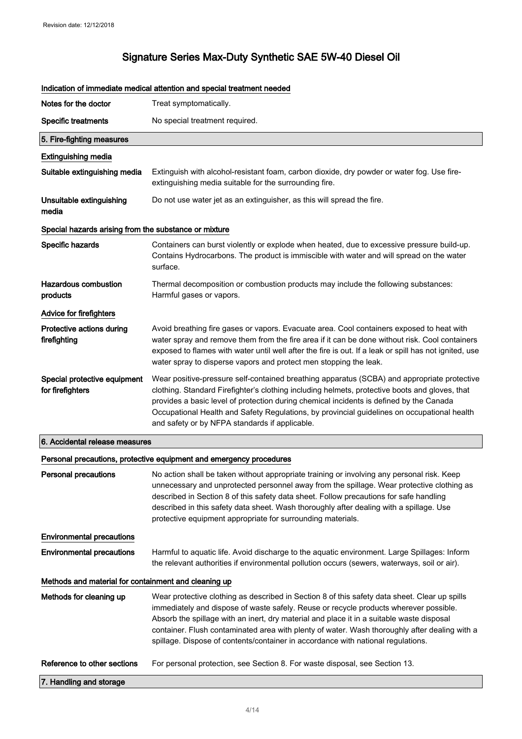|                                                       | Indication of immediate medical attention and special treatment needed                                                                                                                                                                                                                                                                                                                                                                                                   |  |
|-------------------------------------------------------|--------------------------------------------------------------------------------------------------------------------------------------------------------------------------------------------------------------------------------------------------------------------------------------------------------------------------------------------------------------------------------------------------------------------------------------------------------------------------|--|
| Notes for the doctor                                  | Treat symptomatically.                                                                                                                                                                                                                                                                                                                                                                                                                                                   |  |
| <b>Specific treatments</b>                            | No special treatment required.                                                                                                                                                                                                                                                                                                                                                                                                                                           |  |
| 5. Fire-fighting measures                             |                                                                                                                                                                                                                                                                                                                                                                                                                                                                          |  |
| <b>Extinguishing media</b>                            |                                                                                                                                                                                                                                                                                                                                                                                                                                                                          |  |
| Suitable extinguishing media                          | Extinguish with alcohol-resistant foam, carbon dioxide, dry powder or water fog. Use fire-<br>extinguishing media suitable for the surrounding fire.                                                                                                                                                                                                                                                                                                                     |  |
| Unsuitable extinguishing<br>media                     | Do not use water jet as an extinguisher, as this will spread the fire.                                                                                                                                                                                                                                                                                                                                                                                                   |  |
| Special hazards arising from the substance or mixture |                                                                                                                                                                                                                                                                                                                                                                                                                                                                          |  |
| Specific hazards                                      | Containers can burst violently or explode when heated, due to excessive pressure build-up.<br>Contains Hydrocarbons. The product is immiscible with water and will spread on the water<br>surface.                                                                                                                                                                                                                                                                       |  |
| <b>Hazardous combustion</b><br>products               | Thermal decomposition or combustion products may include the following substances:<br>Harmful gases or vapors.                                                                                                                                                                                                                                                                                                                                                           |  |
| Advice for firefighters                               |                                                                                                                                                                                                                                                                                                                                                                                                                                                                          |  |
| Protective actions during<br>firefighting             | Avoid breathing fire gases or vapors. Evacuate area. Cool containers exposed to heat with<br>water spray and remove them from the fire area if it can be done without risk. Cool containers<br>exposed to flames with water until well after the fire is out. If a leak or spill has not ignited, use<br>water spray to disperse vapors and protect men stopping the leak.                                                                                               |  |
| Special protective equipment<br>for firefighters      | Wear positive-pressure self-contained breathing apparatus (SCBA) and appropriate protective<br>clothing. Standard Firefighter's clothing including helmets, protective boots and gloves, that<br>provides a basic level of protection during chemical incidents is defined by the Canada<br>Occupational Health and Safety Regulations, by provincial guidelines on occupational health<br>and safety or by NFPA standards if applicable.                                |  |
| 6. Accidental release measures                        |                                                                                                                                                                                                                                                                                                                                                                                                                                                                          |  |
|                                                       | Personal precautions, protective equipment and emergency procedures                                                                                                                                                                                                                                                                                                                                                                                                      |  |
| <b>Personal precautions</b>                           | No action shall be taken without appropriate training or involving any personal risk. Keep<br>unnecessary and unprotected personnel away from the spillage. Wear protective clothing as<br>described in Section 8 of this safety data sheet. Follow precautions for safe handling<br>described in this safety data sheet. Wash thoroughly after dealing with a spillage. Use<br>protective equipment appropriate for surrounding materials.                              |  |
| <b>Environmental precautions</b>                      |                                                                                                                                                                                                                                                                                                                                                                                                                                                                          |  |
| <b>Environmental precautions</b>                      | Harmful to aquatic life. Avoid discharge to the aquatic environment. Large Spillages: Inform<br>the relevant authorities if environmental pollution occurs (sewers, waterways, soil or air).                                                                                                                                                                                                                                                                             |  |
| Methods and material for containment and cleaning up  |                                                                                                                                                                                                                                                                                                                                                                                                                                                                          |  |
| Methods for cleaning up                               | Wear protective clothing as described in Section 8 of this safety data sheet. Clear up spills<br>immediately and dispose of waste safely. Reuse or recycle products wherever possible.<br>Absorb the spillage with an inert, dry material and place it in a suitable waste disposal<br>container. Flush contaminated area with plenty of water. Wash thoroughly after dealing with a<br>spillage. Dispose of contents/container in accordance with national regulations. |  |
| Reference to other sections                           | For personal protection, see Section 8. For waste disposal, see Section 13.                                                                                                                                                                                                                                                                                                                                                                                              |  |
| 7. Handling and storage                               |                                                                                                                                                                                                                                                                                                                                                                                                                                                                          |  |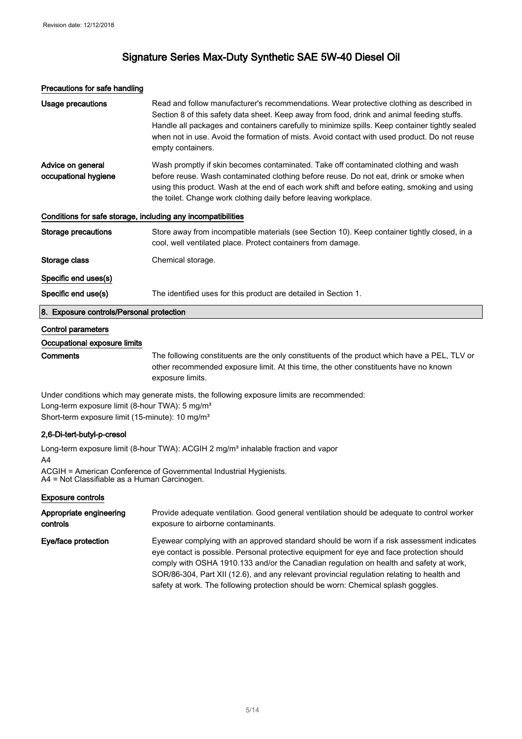#### Precautions for safe handling

| Usage precautions                                            | Read and follow manufacturer's recommendations. Wear protective clothing as described in<br>Section 8 of this safety data sheet. Keep away from food, drink and animal feeding stuffs.<br>Handle all packages and containers carefully to minimize spills. Keep container tightly sealed<br>when not in use. Avoid the formation of mists. Avoid contact with used product. Do not reuse<br>empty containers. |  |
|--------------------------------------------------------------|---------------------------------------------------------------------------------------------------------------------------------------------------------------------------------------------------------------------------------------------------------------------------------------------------------------------------------------------------------------------------------------------------------------|--|
| Advice on general<br>occupational hygiene                    | Wash promptly if skin becomes contaminated. Take off contaminated clothing and wash<br>before reuse. Wash contaminated clothing before reuse. Do not eat, drink or smoke when<br>using this product. Wash at the end of each work shift and before eating, smoking and using<br>the toilet. Change work clothing daily before leaving workplace.                                                              |  |
| Conditions for safe storage, including any incompatibilities |                                                                                                                                                                                                                                                                                                                                                                                                               |  |
| Storage precautions                                          | Store away from incompatible materials (see Section 10). Keep container tightly closed, in a<br>cool, well ventilated place. Protect containers from damage.                                                                                                                                                                                                                                                  |  |
| Storage class                                                | Chemical storage.                                                                                                                                                                                                                                                                                                                                                                                             |  |
| Specific end uses(s)                                         |                                                                                                                                                                                                                                                                                                                                                                                                               |  |
| Specific end use(s)                                          | The identified uses for this product are detailed in Section 1.                                                                                                                                                                                                                                                                                                                                               |  |
| 8. Exposure controls/Personal protection                     |                                                                                                                                                                                                                                                                                                                                                                                                               |  |
| Control parameters                                           |                                                                                                                                                                                                                                                                                                                                                                                                               |  |
| Occupational exposure limits                                 |                                                                                                                                                                                                                                                                                                                                                                                                               |  |

Comments The following constituents are the only constituents of the product which have a PEL, TLV or other recommended exposure limit. At this time, the other constituents have no known exposure limits.

Under conditions which may generate mists, the following exposure limits are recommended: Long-term exposure limit (8-hour TWA): 5 mg/m<sup>3</sup> Short-term exposure limit (15-minute): 10 mg/m<sup>3</sup>

#### 2,6-Di-tert-butyl-p-cresol

Long-term exposure limit (8-hour TWA): ACGIH 2 mg/m<sup>3</sup> inhalable fraction and vapor A4

ACGIH = American Conference of Governmental Industrial Hygienists. A4 = Not Classifiable as a Human Carcinogen.

#### Exposure controls

| Appropriate engineering | Provide adequate ventilation. Good general ventilation should be adequate to control worker                                                                                                                                                                                                                                                                                                                                                                         |
|-------------------------|---------------------------------------------------------------------------------------------------------------------------------------------------------------------------------------------------------------------------------------------------------------------------------------------------------------------------------------------------------------------------------------------------------------------------------------------------------------------|
| controls                | exposure to airborne contaminants.                                                                                                                                                                                                                                                                                                                                                                                                                                  |
| Eye/face protection     | Eyewear complying with an approved standard should be worn if a risk assessment indicates<br>eye contact is possible. Personal protective equipment for eye and face protection should<br>comply with OSHA 1910.133 and/or the Canadian regulation on health and safety at work,<br>SOR/86-304, Part XII (12.6), and any relevant provincial regulation relating to health and<br>safety at work. The following protection should be worn: Chemical splash goggles. |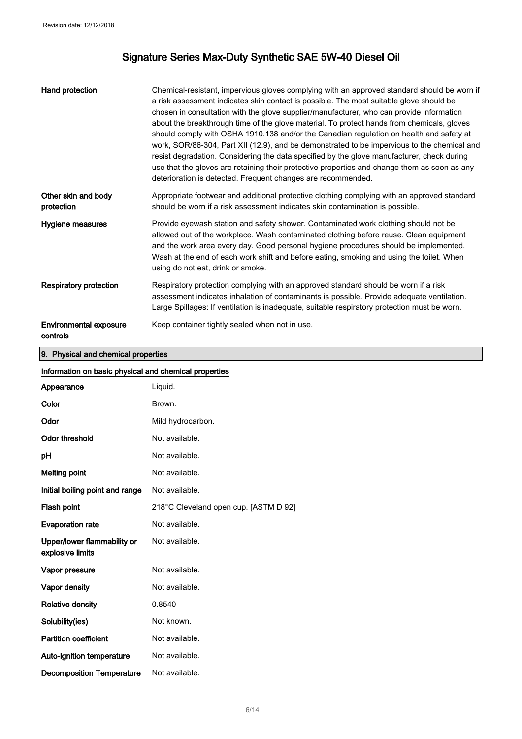| Hand protection                           | Chemical-resistant, impervious gloves complying with an approved standard should be worn if<br>a risk assessment indicates skin contact is possible. The most suitable glove should be<br>chosen in consultation with the glove supplier/manufacturer, who can provide information<br>about the breakthrough time of the glove material. To protect hands from chemicals, gloves<br>should comply with OSHA 1910.138 and/or the Canadian regulation on health and safety at<br>work, SOR/86-304, Part XII (12.9), and be demonstrated to be impervious to the chemical and<br>resist degradation. Considering the data specified by the glove manufacturer, check during<br>use that the gloves are retaining their protective properties and change them as soon as any<br>deterioration is detected. Frequent changes are recommended. |
|-------------------------------------------|------------------------------------------------------------------------------------------------------------------------------------------------------------------------------------------------------------------------------------------------------------------------------------------------------------------------------------------------------------------------------------------------------------------------------------------------------------------------------------------------------------------------------------------------------------------------------------------------------------------------------------------------------------------------------------------------------------------------------------------------------------------------------------------------------------------------------------------|
| Other skin and body<br>protection         | Appropriate footwear and additional protective clothing complying with an approved standard<br>should be worn if a risk assessment indicates skin contamination is possible.                                                                                                                                                                                                                                                                                                                                                                                                                                                                                                                                                                                                                                                             |
| Hygiene measures                          | Provide eyewash station and safety shower. Contaminated work clothing should not be<br>allowed out of the workplace. Wash contaminated clothing before reuse. Clean equipment<br>and the work area every day. Good personal hygiene procedures should be implemented.<br>Wash at the end of each work shift and before eating, smoking and using the toilet. When<br>using do not eat, drink or smoke.                                                                                                                                                                                                                                                                                                                                                                                                                                   |
| Respiratory protection                    | Respiratory protection complying with an approved standard should be worn if a risk<br>assessment indicates inhalation of contaminants is possible. Provide adequate ventilation.<br>Large Spillages: If ventilation is inadequate, suitable respiratory protection must be worn.                                                                                                                                                                                                                                                                                                                                                                                                                                                                                                                                                        |
| <b>Environmental exposure</b><br>controls | Keep container tightly sealed when not in use.                                                                                                                                                                                                                                                                                                                                                                                                                                                                                                                                                                                                                                                                                                                                                                                           |

9. Physical and chemical properties

| Information on basic physical and chemical properties |                                       |  |
|-------------------------------------------------------|---------------------------------------|--|
| Appearance                                            | Liquid.                               |  |
| Color                                                 | Brown.                                |  |
| Odor                                                  | Mild hydrocarbon.                     |  |
| <b>Odor threshold</b>                                 | Not available.                        |  |
| рH                                                    | Not available.                        |  |
| <b>Melting point</b>                                  | Not available.                        |  |
| Initial boiling point and range                       | Not available.                        |  |
| Flash point                                           | 218°C Cleveland open cup. [ASTM D 92] |  |
| <b>Evaporation rate</b>                               | Not available.                        |  |
| Upper/lower flammability or<br>explosive limits       | Not available.                        |  |
| Vapor pressure                                        | Not available.                        |  |
| Vapor density                                         | Not available.                        |  |
| <b>Relative density</b>                               | 0.8540                                |  |
| Solubility(ies)                                       | Not known.                            |  |
| <b>Partition coefficient</b>                          | Not available.                        |  |
| Auto-ignition temperature                             | Not available.                        |  |
| <b>Decomposition Temperature</b>                      | Not available.                        |  |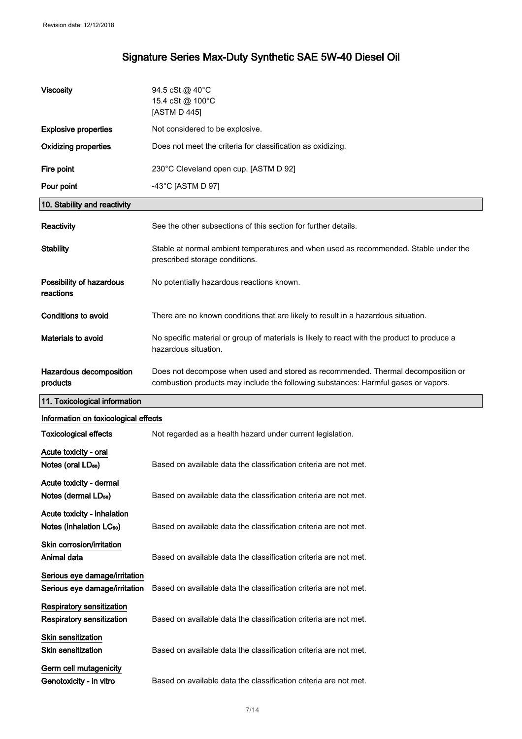| <b>Viscosity</b>                                                                 | 94.5 cSt @ 40°C<br>15.4 cSt @ 100°C<br>[ASTM D 445]                                                                                                                    |
|----------------------------------------------------------------------------------|------------------------------------------------------------------------------------------------------------------------------------------------------------------------|
| <b>Explosive properties</b>                                                      | Not considered to be explosive.                                                                                                                                        |
| <b>Oxidizing properties</b>                                                      | Does not meet the criteria for classification as oxidizing.                                                                                                            |
| Fire point                                                                       | 230°C Cleveland open cup. [ASTM D 92]                                                                                                                                  |
| Pour point                                                                       | -43 $^{\circ}$ C [ASTM D 97]                                                                                                                                           |
| 10. Stability and reactivity                                                     |                                                                                                                                                                        |
| Reactivity                                                                       | See the other subsections of this section for further details.                                                                                                         |
| <b>Stability</b>                                                                 | Stable at normal ambient temperatures and when used as recommended. Stable under the<br>prescribed storage conditions.                                                 |
| Possibility of hazardous<br>reactions                                            | No potentially hazardous reactions known.                                                                                                                              |
| <b>Conditions to avoid</b>                                                       | There are no known conditions that are likely to result in a hazardous situation.                                                                                      |
| Materials to avoid                                                               | No specific material or group of materials is likely to react with the product to produce a<br>hazardous situation.                                                    |
| Hazardous decomposition<br>products                                              | Does not decompose when used and stored as recommended. Thermal decomposition or<br>combustion products may include the following substances: Harmful gases or vapors. |
|                                                                                  |                                                                                                                                                                        |
| 11. Toxicological information                                                    |                                                                                                                                                                        |
| Information on toxicological effects                                             |                                                                                                                                                                        |
| <b>Toxicological effects</b>                                                     | Not regarded as a health hazard under current legislation.                                                                                                             |
| Acute toxicity - oral<br>Notes (oral LD <sub>50</sub> )                          | Based on available data the classification criteria are not met.                                                                                                       |
| Acute toxicity - dermal<br>Notes (dermal LD <sub>50</sub> )                      | Based on available data the classification criteria are not met.                                                                                                       |
| Acute toxicity - inhalation<br>Notes (inhalation LC <sub>50</sub> )              | Based on available data the classification criteria are not met.                                                                                                       |
| Skin corrosion/irritation<br>Animal data                                         | Based on available data the classification criteria are not met.                                                                                                       |
| Serious eye damage/irritation<br>Serious eye damage/irritation                   | Based on available data the classification criteria are not met.                                                                                                       |
| <b>Respiratory sensitization</b><br><b>Respiratory sensitization</b>             | Based on available data the classification criteria are not met.                                                                                                       |
| <b>Skin sensitization</b><br><b>Skin sensitization</b><br>Germ cell mutagenicity | Based on available data the classification criteria are not met.                                                                                                       |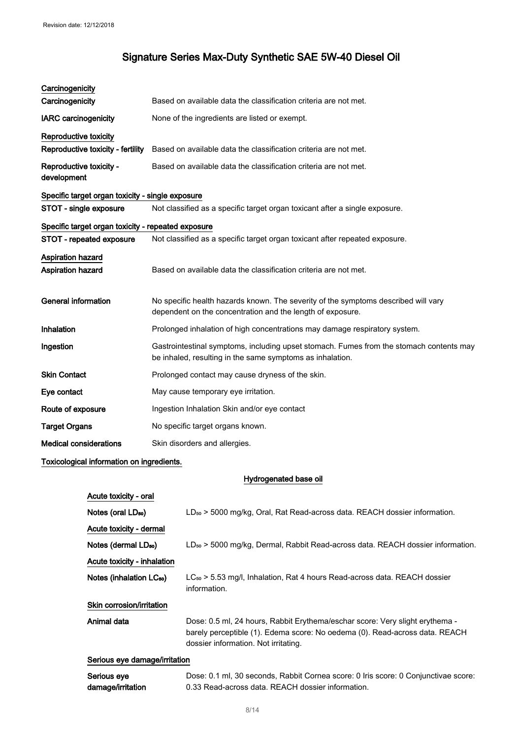| Carcinogenicity                                    |                                                                                                                                                      |  |
|----------------------------------------------------|------------------------------------------------------------------------------------------------------------------------------------------------------|--|
| Carcinogenicity                                    | Based on available data the classification criteria are not met.                                                                                     |  |
| <b>IARC</b> carcinogenicity                        | None of the ingredients are listed or exempt.                                                                                                        |  |
| Reproductive toxicity                              |                                                                                                                                                      |  |
| Reproductive toxicity - fertility                  | Based on available data the classification criteria are not met.                                                                                     |  |
| Reproductive toxicity -<br>development             | Based on available data the classification criteria are not met.                                                                                     |  |
| Specific target organ toxicity - single exposure   |                                                                                                                                                      |  |
| STOT - single exposure                             | Not classified as a specific target organ toxicant after a single exposure.                                                                          |  |
| Specific target organ toxicity - repeated exposure |                                                                                                                                                      |  |
| STOT - repeated exposure                           | Not classified as a specific target organ toxicant after repeated exposure.                                                                          |  |
| Aspiration hazard                                  |                                                                                                                                                      |  |
| <b>Aspiration hazard</b>                           | Based on available data the classification criteria are not met.                                                                                     |  |
| <b>General information</b>                         | No specific health hazards known. The severity of the symptoms described will vary<br>dependent on the concentration and the length of exposure.     |  |
| Inhalation                                         | Prolonged inhalation of high concentrations may damage respiratory system.                                                                           |  |
| Ingestion                                          | Gastrointestinal symptoms, including upset stomach. Fumes from the stomach contents may<br>be inhaled, resulting in the same symptoms as inhalation. |  |
| <b>Skin Contact</b>                                | Prolonged contact may cause dryness of the skin.                                                                                                     |  |
| Eye contact                                        | May cause temporary eye irritation.                                                                                                                  |  |
| Route of exposure                                  | Ingestion Inhalation Skin and/or eye contact                                                                                                         |  |
| <b>Target Organs</b>                               | No specific target organs known.                                                                                                                     |  |
| <b>Medical considerations</b>                      | Skin disorders and allergies.                                                                                                                        |  |

### Toxicological information on ingredients.

### Hydrogenated base oil

| Acute toxicity - oral                |                                                                                                                                                                                                     |
|--------------------------------------|-----------------------------------------------------------------------------------------------------------------------------------------------------------------------------------------------------|
| Notes (oral LD <sub>50</sub> )       | $LD_{50}$ > 5000 mg/kg, Oral, Rat Read-across data. REACH dossier information.                                                                                                                      |
| Acute toxicity - dermal              |                                                                                                                                                                                                     |
| Notes (dermal LD <sub>50</sub> )     | $LD_{50}$ > 5000 mg/kg, Dermal, Rabbit Read-across data. REACH dossier information.                                                                                                                 |
| Acute toxicity - inhalation          |                                                                                                                                                                                                     |
| Notes (inhalation LC <sub>50</sub> ) | $LC_{50}$ > 5.53 mg/l, Inhalation, Rat 4 hours Read-across data. REACH dossier<br>information.                                                                                                      |
| Skin corrosion/irritation            |                                                                                                                                                                                                     |
| Animal data                          | Dose: 0.5 ml, 24 hours, Rabbit Erythema/eschar score: Very slight erythema -<br>barely perceptible (1). Edema score: No oedema (0). Read-across data. REACH<br>dossier information. Not irritating. |
| Serious eye damage/irritation        |                                                                                                                                                                                                     |
| Serious eye<br>damage/irritation     | Dose: 0.1 ml, 30 seconds, Rabbit Cornea score: 0 Iris score: 0 Conjunctivae score:<br>0.33 Read-across data. REACH dossier information.                                                             |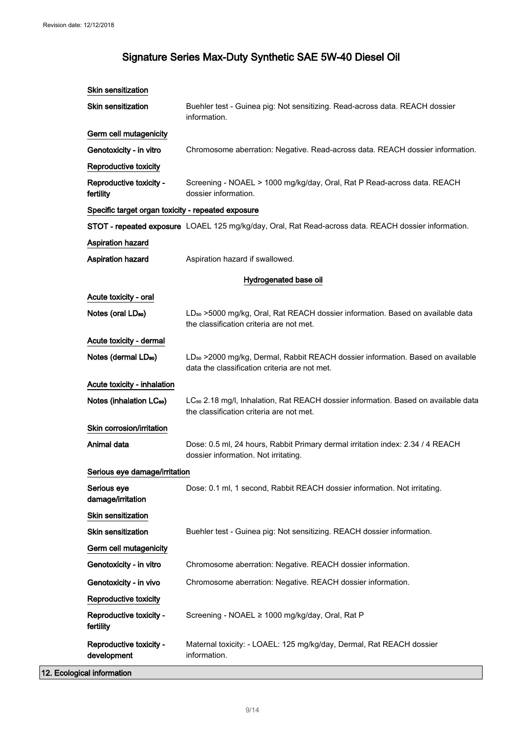| Skin sensitization                                 |                                                                                                                                              |
|----------------------------------------------------|----------------------------------------------------------------------------------------------------------------------------------------------|
| <b>Skin sensitization</b>                          | Buehler test - Guinea pig: Not sensitizing. Read-across data. REACH dossier<br>information.                                                  |
| Germ cell mutagenicity                             |                                                                                                                                              |
| Genotoxicity - in vitro                            | Chromosome aberration: Negative. Read-across data. REACH dossier information.                                                                |
| Reproductive toxicity                              |                                                                                                                                              |
| Reproductive toxicity -<br>fertility               | Screening - NOAEL > 1000 mg/kg/day, Oral, Rat P Read-across data. REACH<br>dossier information.                                              |
| Specific target organ toxicity - repeated exposure |                                                                                                                                              |
|                                                    | STOT - repeated exposure LOAEL 125 mg/kg/day, Oral, Rat Read-across data. REACH dossier information.                                         |
| <b>Aspiration hazard</b>                           |                                                                                                                                              |
| <b>Aspiration hazard</b>                           | Aspiration hazard if swallowed.                                                                                                              |
|                                                    | Hydrogenated base oil                                                                                                                        |
| Acute toxicity - oral                              |                                                                                                                                              |
| Notes (oral LD <sub>50</sub> )                     | LD <sub>so</sub> >5000 mg/kg, Oral, Rat REACH dossier information. Based on available data<br>the classification criteria are not met.       |
| Acute toxicity - dermal                            |                                                                                                                                              |
| Notes (dermal LD <sub>50</sub> )                   | LD <sub>50</sub> > 2000 mg/kg, Dermal, Rabbit REACH dossier information. Based on available<br>data the classification criteria are not met. |
| Acute toxicity - inhalation                        |                                                                                                                                              |
| Notes (inhalation LC <sub>50</sub> )               | LC <sub>so</sub> 2.18 mg/l, Inhalation, Rat REACH dossier information. Based on available data<br>the classification criteria are not met.   |
| Skin corrosion/irritation                          |                                                                                                                                              |
| Animal data                                        | Dose: 0.5 ml, 24 hours, Rabbit Primary dermal irritation index: 2.34 / 4 REACH<br>dossier information. Not irritating.                       |
| Serious eye damage/irritation                      |                                                                                                                                              |
| Serious eye<br>damage/irritation                   | Dose: 0.1 ml, 1 second, Rabbit REACH dossier information. Not irritating.                                                                    |
| Skin sensitization                                 |                                                                                                                                              |
| Skin sensitization                                 | Buehler test - Guinea pig: Not sensitizing. REACH dossier information.                                                                       |
| Germ cell mutagenicity                             |                                                                                                                                              |
| Genotoxicity - in vitro                            | Chromosome aberration: Negative. REACH dossier information.                                                                                  |
| Genotoxicity - in vivo                             | Chromosome aberration: Negative. REACH dossier information.                                                                                  |
| Reproductive toxicity                              |                                                                                                                                              |
| Reproductive toxicity -<br>fertility               | Screening - NOAEL ≥ 1000 mg/kg/day, Oral, Rat P                                                                                              |
| Reproductive toxicity -<br>development             | Maternal toxicity: - LOAEL: 125 mg/kg/day, Dermal, Rat REACH dossier<br>information.                                                         |

12. Ecological information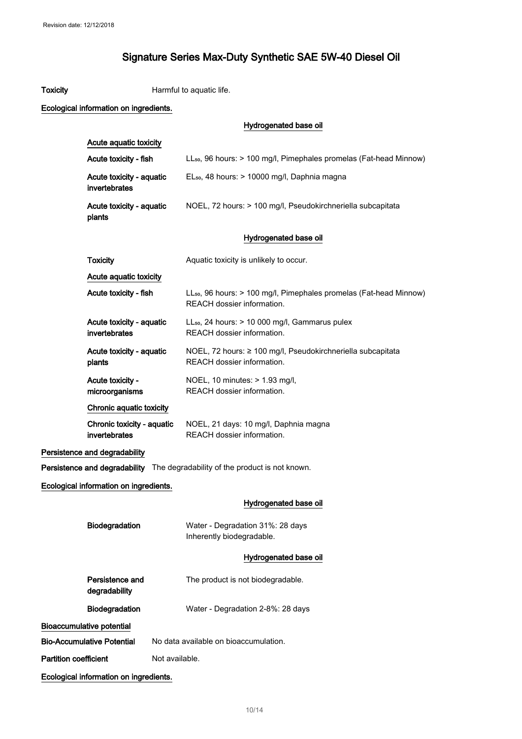Toxicity **Harmful to aquatic life.** 

| Ecological information on ingredients.      |                                                                                                              |
|---------------------------------------------|--------------------------------------------------------------------------------------------------------------|
|                                             | Hydrogenated base oil                                                                                        |
| Acute aquatic toxicity                      |                                                                                                              |
| Acute toxicity - fish                       | LL <sub>50</sub> , 96 hours: > 100 mg/l, Pimephales promelas (Fat-head Minnow)                               |
| Acute toxicity - aquatic<br>invertebrates   | EL <sub>50</sub> , 48 hours: > 10000 mg/l, Daphnia magna                                                     |
| Acute toxicity - aquatic<br>plants          | NOEL, 72 hours: > 100 mg/l, Pseudokirchneriella subcapitata                                                  |
|                                             | Hydrogenated base oil                                                                                        |
| <b>Toxicity</b>                             | Aquatic toxicity is unlikely to occur.                                                                       |
| Acute aquatic toxicity                      |                                                                                                              |
| Acute toxicity - fish                       | LL <sub>50</sub> , 96 hours: > 100 mg/l, Pimephales promelas (Fat-head Minnow)<br>REACH dossier information. |
| Acute toxicity - aquatic<br>invertebrates   | LL <sub>50</sub> , 24 hours: > 10 000 mg/l, Gammarus pulex<br>REACH dossier information.                     |
| Acute toxicity - aquatic<br>plants          | NOEL, 72 hours: ≥ 100 mg/l, Pseudokirchneriella subcapitata<br>REACH dossier information.                    |
| Acute toxicity -<br>microorganisms          | NOEL, 10 minutes: > 1.93 mg/l,<br>REACH dossier information.                                                 |
| Chronic aquatic toxicity                    |                                                                                                              |
| Chronic toxicity - aquatic<br>invertebrates | NOEL, 21 days: 10 mg/l, Daphnia magna<br>REACH dossier information.                                          |
| Persistence and degradability               |                                                                                                              |
|                                             | Persistence and degradability The degradability of the product is not known.                                 |
| Ecological information on ingredients.      |                                                                                                              |
|                                             | Hydrogenated base oil                                                                                        |
| Biodegradation                              | Water - Degradation 31%: 28 days<br>Inherently biodegradable.                                                |
|                                             | Hydrogenated base oil                                                                                        |
| Persistence and<br>degradability            | The product is not biodegradable.                                                                            |
| Biodegradation                              | Water - Degradation 2-8%: 28 days                                                                            |
| <b>Bioaccumulative potential</b>            |                                                                                                              |
| <b>Bio-Accumulative Potential</b>           | No data available on bioaccumulation.                                                                        |
| <b>Partition coefficient</b>                | Not available.                                                                                               |

Ecological information on ingredients.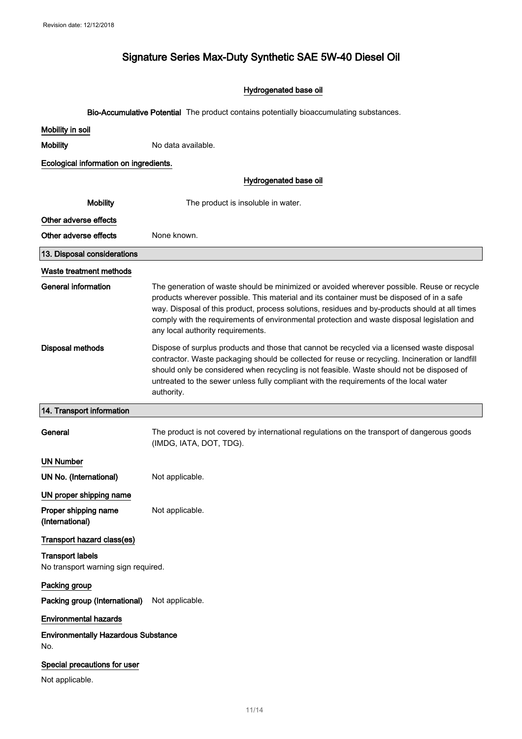### Hydrogenated base oil

Bio-Accumulative Potential The product contains potentially bioaccumulating substances.

| Mobility in soil                                               |                                                                                                                                                                                                                                                                                                                                                                                                                               |  |  |
|----------------------------------------------------------------|-------------------------------------------------------------------------------------------------------------------------------------------------------------------------------------------------------------------------------------------------------------------------------------------------------------------------------------------------------------------------------------------------------------------------------|--|--|
| <b>Mobility</b>                                                | No data available.                                                                                                                                                                                                                                                                                                                                                                                                            |  |  |
| Ecological information on ingredients.                         |                                                                                                                                                                                                                                                                                                                                                                                                                               |  |  |
|                                                                | Hydrogenated base oil                                                                                                                                                                                                                                                                                                                                                                                                         |  |  |
| <b>Mobility</b>                                                | The product is insoluble in water.                                                                                                                                                                                                                                                                                                                                                                                            |  |  |
| Other adverse effects                                          |                                                                                                                                                                                                                                                                                                                                                                                                                               |  |  |
| Other adverse effects                                          | None known.                                                                                                                                                                                                                                                                                                                                                                                                                   |  |  |
| 13. Disposal considerations                                    |                                                                                                                                                                                                                                                                                                                                                                                                                               |  |  |
| Waste treatment methods                                        |                                                                                                                                                                                                                                                                                                                                                                                                                               |  |  |
| <b>General information</b>                                     | The generation of waste should be minimized or avoided wherever possible. Reuse or recycle<br>products wherever possible. This material and its container must be disposed of in a safe<br>way. Disposal of this product, process solutions, residues and by-products should at all times<br>comply with the requirements of environmental protection and waste disposal legislation and<br>any local authority requirements. |  |  |
| <b>Disposal methods</b>                                        | Dispose of surplus products and those that cannot be recycled via a licensed waste disposal<br>contractor. Waste packaging should be collected for reuse or recycling. Incineration or landfill<br>should only be considered when recycling is not feasible. Waste should not be disposed of<br>untreated to the sewer unless fully compliant with the requirements of the local water<br>authority.                          |  |  |
| 14. Transport information                                      |                                                                                                                                                                                                                                                                                                                                                                                                                               |  |  |
| General                                                        | The product is not covered by international regulations on the transport of dangerous goods<br>(IMDG, IATA, DOT, TDG).                                                                                                                                                                                                                                                                                                        |  |  |
| <b>UN Number</b>                                               |                                                                                                                                                                                                                                                                                                                                                                                                                               |  |  |
| UN No. (International)                                         | Not applicable.                                                                                                                                                                                                                                                                                                                                                                                                               |  |  |
| UN proper shipping name                                        |                                                                                                                                                                                                                                                                                                                                                                                                                               |  |  |
| Proper shipping name<br>(International)                        | Not applicable.                                                                                                                                                                                                                                                                                                                                                                                                               |  |  |
| Transport hazard class(es)                                     |                                                                                                                                                                                                                                                                                                                                                                                                                               |  |  |
| <b>Transport labels</b><br>No transport warning sign required. |                                                                                                                                                                                                                                                                                                                                                                                                                               |  |  |
| Packing group                                                  |                                                                                                                                                                                                                                                                                                                                                                                                                               |  |  |
| Packing group (International)                                  | Not applicable.                                                                                                                                                                                                                                                                                                                                                                                                               |  |  |
| <b>Environmental hazards</b>                                   |                                                                                                                                                                                                                                                                                                                                                                                                                               |  |  |
| <b>Environmentally Hazardous Substance</b><br>No.              |                                                                                                                                                                                                                                                                                                                                                                                                                               |  |  |
| Special precautions for user                                   |                                                                                                                                                                                                                                                                                                                                                                                                                               |  |  |
| Not applicable.                                                |                                                                                                                                                                                                                                                                                                                                                                                                                               |  |  |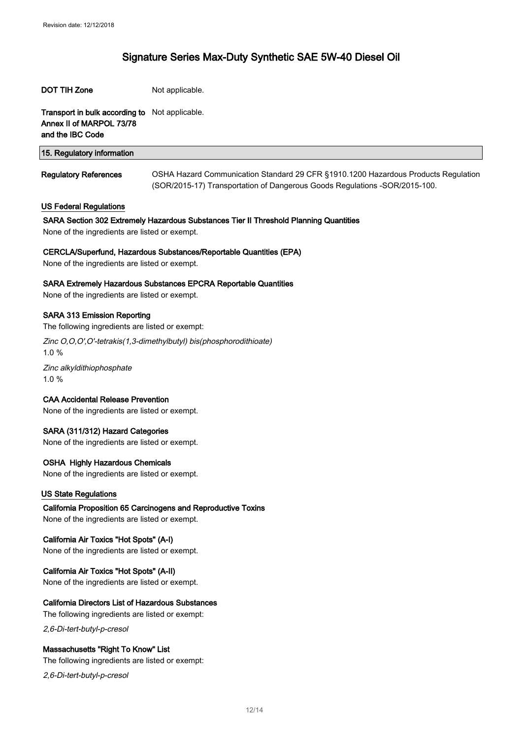#### DOT TIH Zone Not applicable.

Transport in bulk according to Not applicable. Annex II of MARPOL 73/78 and the IBC Code

| 15. Regulatory information   |                                                                                                                                                                   |
|------------------------------|-------------------------------------------------------------------------------------------------------------------------------------------------------------------|
| <b>Regulatory References</b> | OSHA Hazard Communication Standard 29 CFR §1910.1200 Hazardous Products Regulation<br>(SOR/2015-17) Transportation of Dangerous Goods Regulations - SOR/2015-100. |

#### US Federal Regulations

#### SARA Section 302 Extremely Hazardous Substances Tier II Threshold Planning Quantities

None of the ingredients are listed or exempt.

#### CERCLA/Superfund, Hazardous Substances/Reportable Quantities (EPA)

None of the ingredients are listed or exempt.

#### SARA Extremely Hazardous Substances EPCRA Reportable Quantities

None of the ingredients are listed or exempt.

#### SARA 313 Emission Reporting

The following ingredients are listed or exempt:

Zinc O,O,O',O'-tetrakis(1,3-dimethylbutyl) bis(phosphorodithioate) 1.0 %

Zinc alkyldithiophosphate 1.0 %

#### CAA Accidental Release Prevention

None of the ingredients are listed or exempt.

#### SARA (311/312) Hazard Categories

None of the ingredients are listed or exempt.

#### OSHA Highly Hazardous Chemicals

None of the ingredients are listed or exempt.

#### US State Regulations

California Proposition 65 Carcinogens and Reproductive Toxins None of the ingredients are listed or exempt.

#### California Air Toxics "Hot Spots" (A-I)

None of the ingredients are listed or exempt.

#### California Air Toxics "Hot Spots" (A-II)

None of the ingredients are listed or exempt.

#### California Directors List of Hazardous Substances

The following ingredients are listed or exempt:

2,6-Di-tert-butyl-p-cresol

#### Massachusetts "Right To Know" List

The following ingredients are listed or exempt:

2,6-Di-tert-butyl-p-cresol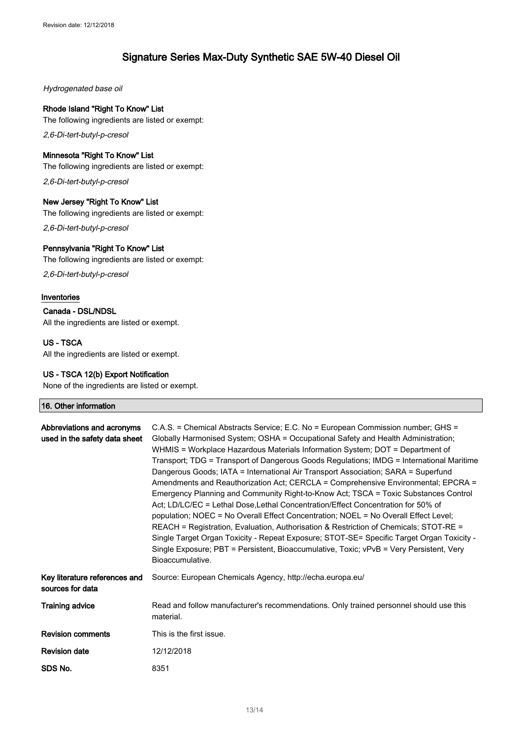Hydrogenated base oil

#### Rhode Island "Right To Know" List

The following ingredients are listed or exempt:

2,6-Di-tert-butyl-p-cresol

#### Minnesota "Right To Know" List

The following ingredients are listed or exempt:

2,6-Di-tert-butyl-p-cresol

#### New Jersey "Right To Know" List

The following ingredients are listed or exempt:

2,6-Di-tert-butyl-p-cresol

#### Pennsylvania "Right To Know" List

The following ingredients are listed or exempt:

2,6-Di-tert-butyl-p-cresol

#### Inventories

Canada - DSL/NDSL

All the ingredients are listed or exempt.

#### US - TSCA

All the ingredients are listed or exempt.

#### US - TSCA 12(b) Export Notification

None of the ingredients are listed or exempt.

### 16. Other information

| Abbreviations and acronyms<br>used in the safety data sheet | C.A.S. = Chemical Abstracts Service; E.C. No = European Commission number; GHS =<br>Globally Harmonised System; OSHA = Occupational Safety and Health Administration;<br>WHMIS = Workplace Hazardous Materials Information System; DOT = Department of<br>Transport; TDG = Transport of Dangerous Goods Regulations; IMDG = International Maritime<br>Dangerous Goods; IATA = International Air Transport Association; SARA = Superfund<br>Amendments and Reauthorization Act; CERCLA = Comprehensive Environmental; EPCRA =<br>Emergency Planning and Community Right-to-Know Act; TSCA = Toxic Substances Control<br>Act; LD/LC/EC = Lethal Dose, Lethal Concentration/Effect Concentration for 50% of<br>population; NOEC = No Overall Effect Concentration; NOEL = No Overall Effect Level;<br>REACH = Registration, Evaluation, Authorisation & Restriction of Chemicals; STOT-RE =<br>Single Target Organ Toxicity - Repeat Exposure; STOT-SE= Specific Target Organ Toxicity -<br>Single Exposure; PBT = Persistent, Bioaccumulative, Toxic; vPvB = Very Persistent, Very<br>Bioaccumulative. |
|-------------------------------------------------------------|------------------------------------------------------------------------------------------------------------------------------------------------------------------------------------------------------------------------------------------------------------------------------------------------------------------------------------------------------------------------------------------------------------------------------------------------------------------------------------------------------------------------------------------------------------------------------------------------------------------------------------------------------------------------------------------------------------------------------------------------------------------------------------------------------------------------------------------------------------------------------------------------------------------------------------------------------------------------------------------------------------------------------------------------------------------------------------------------------|
| Key literature references and<br>sources for data           | Source: European Chemicals Agency, http://echa.europa.eu/                                                                                                                                                                                                                                                                                                                                                                                                                                                                                                                                                                                                                                                                                                                                                                                                                                                                                                                                                                                                                                            |
| <b>Training advice</b>                                      | Read and follow manufacturer's recommendations. Only trained personnel should use this<br>material.                                                                                                                                                                                                                                                                                                                                                                                                                                                                                                                                                                                                                                                                                                                                                                                                                                                                                                                                                                                                  |
| <b>Revision comments</b>                                    | This is the first issue.                                                                                                                                                                                                                                                                                                                                                                                                                                                                                                                                                                                                                                                                                                                                                                                                                                                                                                                                                                                                                                                                             |
| <b>Revision date</b>                                        | 12/12/2018                                                                                                                                                                                                                                                                                                                                                                                                                                                                                                                                                                                                                                                                                                                                                                                                                                                                                                                                                                                                                                                                                           |
| SDS No.                                                     | 8351                                                                                                                                                                                                                                                                                                                                                                                                                                                                                                                                                                                                                                                                                                                                                                                                                                                                                                                                                                                                                                                                                                 |